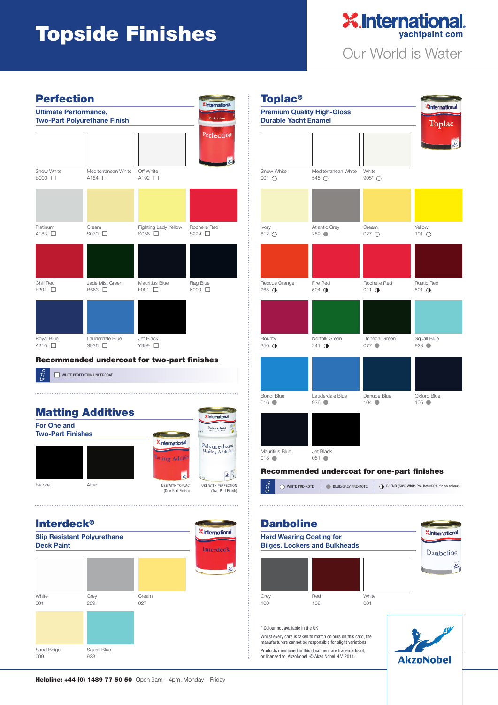## **Topside Finishes**





## **Recommended undercoat for two-part finishes**

WHITE PERFECTION UNDERCOAT







Whilst every care is taken to match colours on this card, the manufacturers cannot be responsible for slight variations. Products mentioned in this document are trademarks of, or licensed to, AkzoNobel. © Akzo Nobel N.V. 2011.